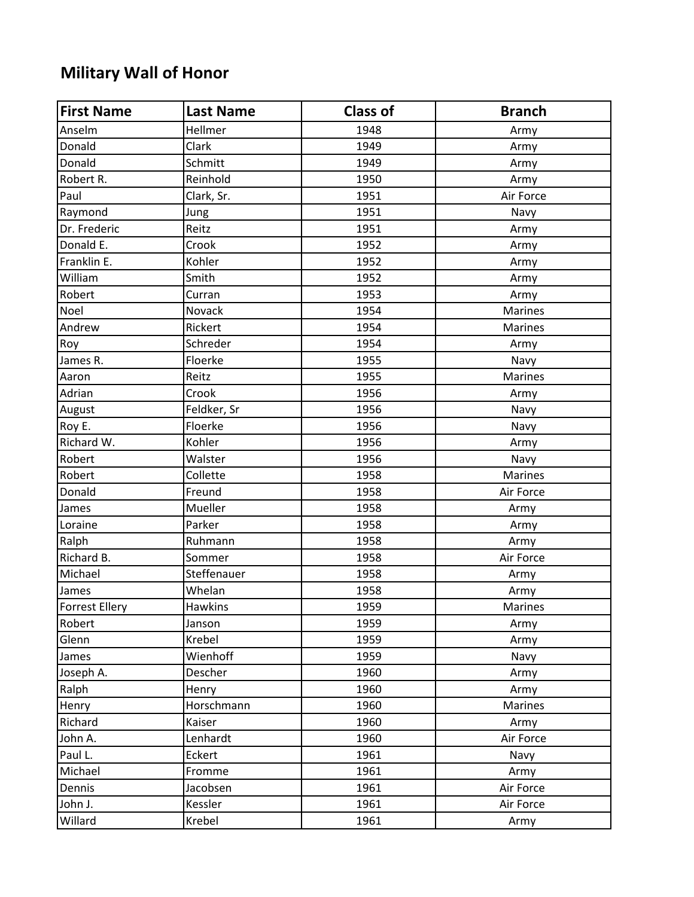## **Military Wall of Honor**

| <b>First Name</b> | <b>Last Name</b> | <b>Class of</b> | <b>Branch</b>  |
|-------------------|------------------|-----------------|----------------|
| Anselm            | Hellmer          | 1948            | Army           |
| Donald            | Clark            | 1949            | Army           |
| Donald            | Schmitt          | 1949            | Army           |
| Robert R.         | Reinhold         | 1950            | Army           |
| Paul              | Clark, Sr.       | 1951            | Air Force      |
| Raymond           | Jung             | 1951            | Navy           |
| Dr. Frederic      | Reitz            | 1951            | Army           |
| Donald E.         | Crook            | 1952            | Army           |
| Franklin E.       | Kohler           | 1952            | Army           |
| William           | Smith            | 1952            | Army           |
| Robert            | Curran           | 1953            | Army           |
| Noel              | Novack           | 1954            | <b>Marines</b> |
| Andrew            | Rickert          | 1954            | Marines        |
| Roy               | Schreder         | 1954            | Army           |
| James R.          | Floerke          | 1955            | Navy           |
| Aaron             | Reitz            | 1955            | Marines        |
| Adrian            | Crook            | 1956            | Army           |
| August            | Feldker, Sr      | 1956            | Navy           |
| Roy E.            | Floerke          | 1956            | Navy           |
| Richard W.        | Kohler           | 1956            | Army           |
| Robert            | Walster          | 1956            | Navy           |
| Robert            | Collette         | 1958            | <b>Marines</b> |
| Donald            | Freund           | 1958            | Air Force      |
| James             | Mueller          | 1958            | Army           |
| Loraine           | Parker           | 1958            | Army           |
| Ralph             | Ruhmann          | 1958            | Army           |
| Richard B.        | Sommer           | 1958            | Air Force      |
| Michael           | Steffenauer      | 1958            | Army           |
| James             | Whelan           | 1958            | Army           |
| Forrest Ellery    | <b>Hawkins</b>   | 1959            | Marines        |
| Robert            | Janson           | 1959            | Army           |
| Glenn             | Krebel           | 1959            | Army           |
| James             | Wienhoff         | 1959            | Navy           |
| Joseph A.         | Descher          | 1960            | Army           |
| Ralph             | Henry            | 1960            | Army           |
| Henry             | Horschmann       | 1960            | Marines        |
| Richard           | Kaiser           | 1960            | Army           |
| John A.           | Lenhardt         | 1960            | Air Force      |
| Paul L.           | Eckert           | 1961            | Navy           |
| Michael           | Fromme           | 1961            | Army           |
| Dennis            | Jacobsen         | 1961            | Air Force      |
| John J.           | Kessler          | 1961            | Air Force      |
| Willard           | Krebel           | 1961            | Army           |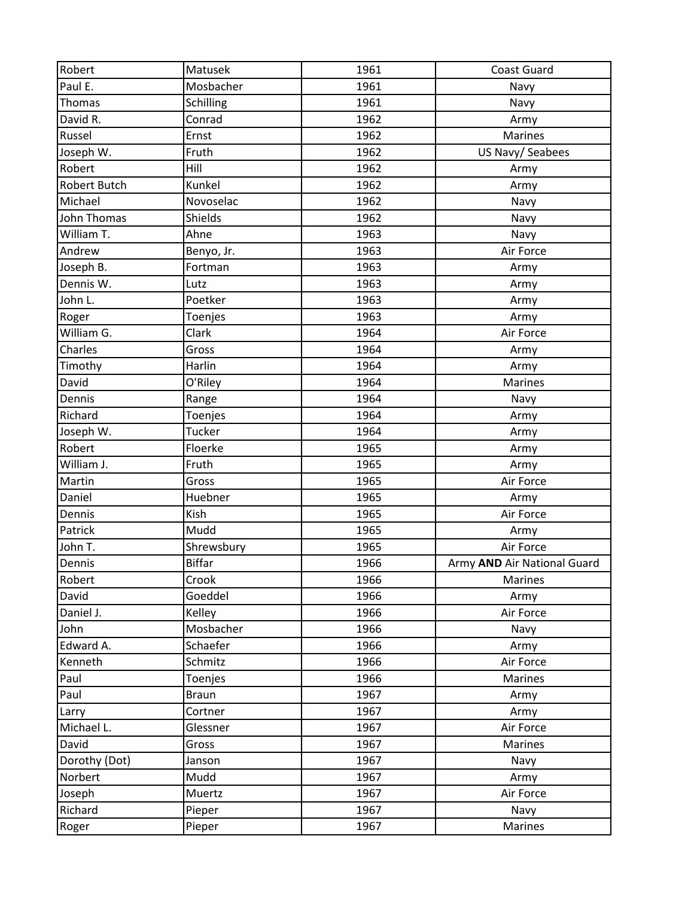| Robert              | Matusek       | 1961 | <b>Coast Guard</b>          |
|---------------------|---------------|------|-----------------------------|
| Paul E.             | Mosbacher     | 1961 | Navy                        |
| Thomas              | Schilling     | 1961 | Navy                        |
| David R.            | Conrad        | 1962 | Army                        |
| Russel              | Ernst         | 1962 | <b>Marines</b>              |
| Joseph W.           | Fruth         | 1962 | US Navy/ Seabees            |
| Robert              | Hill          | 1962 | Army                        |
| <b>Robert Butch</b> | Kunkel        | 1962 | Army                        |
| Michael             | Novoselac     | 1962 | Navy                        |
| John Thomas         | Shields       | 1962 | Navy                        |
| William T.          | Ahne          | 1963 | Navy                        |
| Andrew              | Benyo, Jr.    | 1963 | Air Force                   |
| Joseph B.           | Fortman       | 1963 | Army                        |
| Dennis W.           | Lutz          | 1963 | Army                        |
| John L.             | Poetker       | 1963 | Army                        |
| Roger               | Toenjes       | 1963 | Army                        |
| William G.          | Clark         | 1964 | Air Force                   |
| Charles             | Gross         | 1964 | Army                        |
| Timothy             | Harlin        | 1964 | Army                        |
| David               | O'Riley       | 1964 | Marines                     |
| Dennis              | Range         | 1964 | Navy                        |
| Richard             | Toenjes       | 1964 | Army                        |
| Joseph W.           | Tucker        | 1964 | Army                        |
| Robert              | Floerke       | 1965 | Army                        |
| William J.          | Fruth         | 1965 | Army                        |
| Martin              | Gross         | 1965 | Air Force                   |
| Daniel              | Huebner       | 1965 | Army                        |
| Dennis              | Kish          | 1965 | Air Force                   |
| Patrick             | Mudd          | 1965 | Army                        |
| John T.             | Shrewsbury    | 1965 | Air Force                   |
| Dennis              | <b>Biffar</b> | 1966 | Army AND Air National Guard |
| Robert              | Crook         | 1966 | Marines                     |
| David               | Goeddel       | 1966 | Army                        |
| Daniel J.           | Kelley        | 1966 | Air Force                   |
| John                | Mosbacher     | 1966 | Navy                        |
| Edward A.           | Schaefer      | 1966 | Army                        |
| Kenneth             | Schmitz       | 1966 | Air Force                   |
| Paul                | Toenjes       | 1966 | Marines                     |
| Paul                | <b>Braun</b>  | 1967 | Army                        |
| Larry               | Cortner       | 1967 | Army                        |
| Michael L.          | Glessner      | 1967 | Air Force                   |
| David               | Gross         | 1967 | Marines                     |
| Dorothy (Dot)       | Janson        | 1967 | Navy                        |
| Norbert             | Mudd          | 1967 | Army                        |
| Joseph              | Muertz        | 1967 | Air Force                   |
| Richard             | Pieper        | 1967 | Navy                        |
| Roger               | Pieper        | 1967 | Marines                     |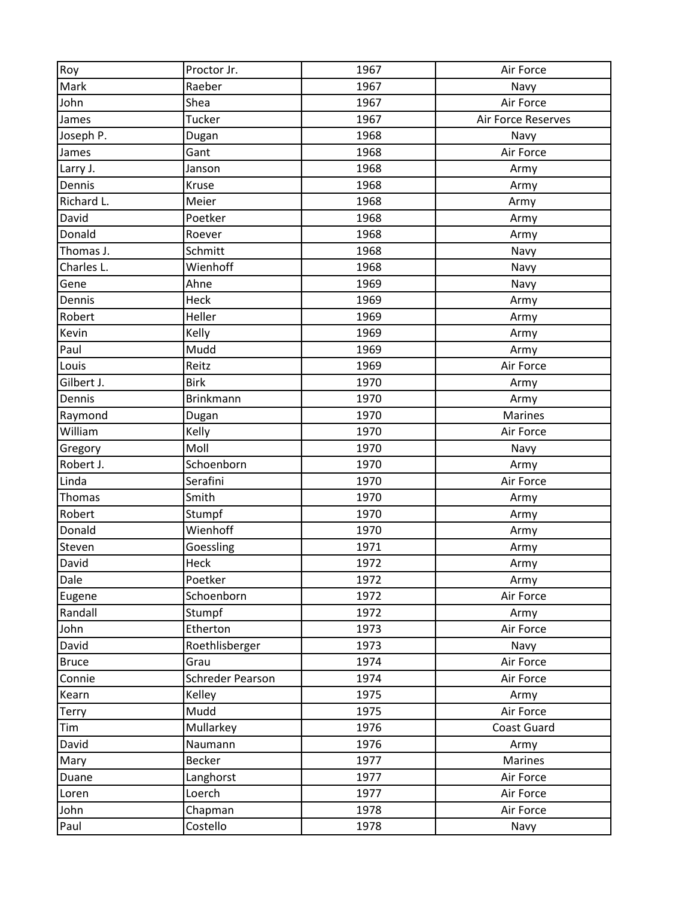| Roy          | Proctor Jr.      | 1967 | Air Force          |
|--------------|------------------|------|--------------------|
| Mark         | Raeber           | 1967 | Navy               |
| John         | Shea             | 1967 | Air Force          |
| James        | Tucker           | 1967 | Air Force Reserves |
| Joseph P.    | Dugan            | 1968 | Navy               |
| James        | Gant             | 1968 | Air Force          |
| Larry J.     | Janson           | 1968 | Army               |
| Dennis       | Kruse            | 1968 | Army               |
| Richard L.   | Meier            | 1968 | Army               |
| David        | Poetker          | 1968 | Army               |
| Donald       | Roever           | 1968 | Army               |
| Thomas J.    | Schmitt          | 1968 | Navy               |
| Charles L.   | Wienhoff         | 1968 | Navy               |
| Gene         | Ahne             | 1969 | Navy               |
| Dennis       | Heck             | 1969 | Army               |
| Robert       | Heller           | 1969 | Army               |
| Kevin        | Kelly            | 1969 | Army               |
| Paul         | Mudd             | 1969 | Army               |
| Louis        | Reitz            | 1969 | Air Force          |
| Gilbert J.   | <b>Birk</b>      | 1970 | Army               |
| Dennis       | Brinkmann        | 1970 | Army               |
| Raymond      | Dugan            | 1970 | <b>Marines</b>     |
| William      | Kelly            | 1970 | Air Force          |
| Gregory      | Moll             | 1970 | Navy               |
| Robert J.    | Schoenborn       | 1970 | Army               |
| Linda        | Serafini         | 1970 | Air Force          |
| Thomas       | Smith            | 1970 | Army               |
| Robert       | Stumpf           | 1970 | Army               |
| Donald       | Wienhoff         | 1970 | Army               |
| Steven       | Goessling        | 1971 | Army               |
| David        | Heck             | 1972 | Army               |
| Dale         | Poetker          | 1972 | Army               |
| Eugene       | Schoenborn       | 1972 | Air Force          |
| Randall      | Stumpf           | 1972 | Army               |
| John         | Etherton         | 1973 | Air Force          |
| David        | Roethlisberger   | 1973 | Navy               |
| <b>Bruce</b> | Grau             | 1974 | Air Force          |
| Connie       | Schreder Pearson | 1974 | Air Force          |
| Kearn        | Kelley           | 1975 | Army               |
| Terry        | Mudd             | 1975 | Air Force          |
| Tim          | Mullarkey        | 1976 | <b>Coast Guard</b> |
| David        | Naumann          | 1976 | Army               |
| Mary         | <b>Becker</b>    | 1977 | Marines            |
| Duane        | Langhorst        | 1977 | Air Force          |
| Loren        | Loerch           | 1977 | Air Force          |
| John         | Chapman          | 1978 | Air Force          |
| Paul         | Costello         | 1978 | Navy               |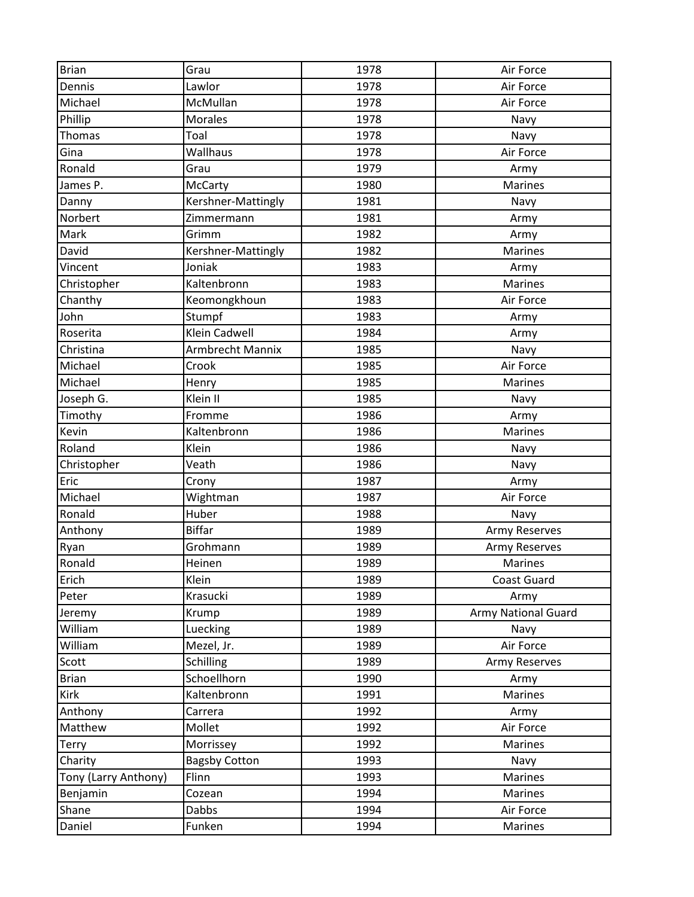| <b>Brian</b>         | Grau                 | 1978 | Air Force                  |
|----------------------|----------------------|------|----------------------------|
| Dennis               | Lawlor               | 1978 | Air Force                  |
| Michael              | McMullan             | 1978 | Air Force                  |
| Phillip              | Morales              | 1978 | Navy                       |
| Thomas               | Toal                 | 1978 | Navy                       |
| Gina                 | Wallhaus             | 1978 | Air Force                  |
| Ronald               | Grau                 | 1979 | Army                       |
| James P.             | <b>McCarty</b>       | 1980 | <b>Marines</b>             |
| Danny                | Kershner-Mattingly   | 1981 | Navy                       |
| Norbert              | Zimmermann           | 1981 | Army                       |
| Mark                 | Grimm                | 1982 | Army                       |
| David                | Kershner-Mattingly   | 1982 | <b>Marines</b>             |
| Vincent              | Joniak               | 1983 | Army                       |
| Christopher          | Kaltenbronn          | 1983 | <b>Marines</b>             |
| Chanthy              | Keomongkhoun         | 1983 | Air Force                  |
| John                 | Stumpf               | 1983 | Army                       |
| Roserita             | Klein Cadwell        | 1984 | Army                       |
| Christina            | Armbrecht Mannix     | 1985 | Navy                       |
| Michael              | Crook                | 1985 | Air Force                  |
| Michael              | Henry                | 1985 | <b>Marines</b>             |
| Joseph G.            | Klein II             | 1985 | Navy                       |
| Timothy              | Fromme               | 1986 | Army                       |
| Kevin                | Kaltenbronn          | 1986 | Marines                    |
| Roland               | Klein                | 1986 | Navy                       |
| Christopher          | Veath                | 1986 | Navy                       |
| Eric                 | Crony                | 1987 | Army                       |
| Michael              | Wightman             | 1987 | Air Force                  |
| Ronald               | Huber                | 1988 | Navy                       |
| Anthony              | <b>Biffar</b>        | 1989 | Army Reserves              |
| Ryan                 | Grohmann             | 1989 | <b>Army Reserves</b>       |
| Ronald               | Heinen               | 1989 | <b>Marines</b>             |
| Erich                | Klein                | 1989 | <b>Coast Guard</b>         |
| Peter                | Krasucki             | 1989 | Army                       |
| Jeremy               | Krump                | 1989 | <b>Army National Guard</b> |
| William              | Luecking             | 1989 | Navy                       |
| William              | Mezel, Jr.           | 1989 | Air Force                  |
| Scott                | Schilling            | 1989 | Army Reserves              |
| <b>Brian</b>         | Schoellhorn          | 1990 | Army                       |
| Kirk                 | Kaltenbronn          | 1991 | Marines                    |
| Anthony              | Carrera              | 1992 | Army                       |
| Matthew              | Mollet               | 1992 | Air Force                  |
| <b>Terry</b>         | Morrissey            | 1992 | Marines                    |
| Charity              | <b>Bagsby Cotton</b> | 1993 | Navy                       |
| Tony (Larry Anthony) | Flinn                | 1993 | Marines                    |
| Benjamin             | Cozean               | 1994 | Marines                    |
| Shane                | Dabbs                | 1994 | Air Force                  |
| Daniel               | Funken               | 1994 | Marines                    |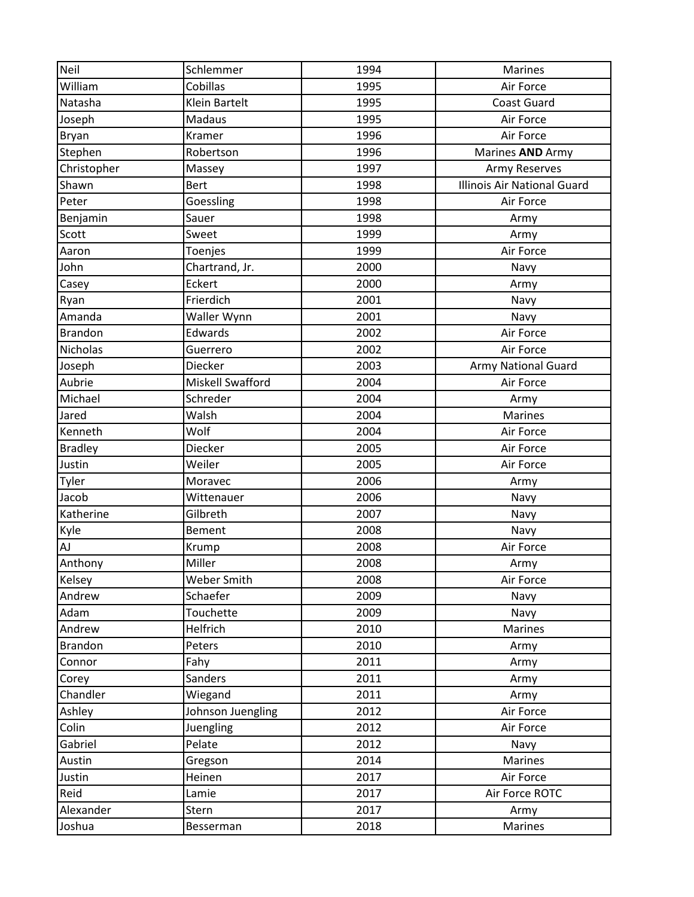| Neil            | Schlemmer         | 1994 | <b>Marines</b>              |
|-----------------|-------------------|------|-----------------------------|
| William         | Cobillas          | 1995 | Air Force                   |
| Natasha         | Klein Bartelt     | 1995 | <b>Coast Guard</b>          |
| Joseph          | Madaus            | 1995 | Air Force                   |
| Bryan           | Kramer            | 1996 | Air Force                   |
| Stephen         | Robertson         | 1996 | Marines AND Army            |
| Christopher     | Massey            | 1997 | <b>Army Reserves</b>        |
| Shawn           | <b>Bert</b>       | 1998 | Illinois Air National Guard |
| Peter           | Goessling         | 1998 | Air Force                   |
| Benjamin        | Sauer             | 1998 | Army                        |
| Scott           | Sweet             | 1999 | Army                        |
| Aaron           | Toenjes           | 1999 | Air Force                   |
| John            | Chartrand, Jr.    | 2000 | Navy                        |
| Casey           | Eckert            | 2000 | Army                        |
| Ryan            | Frierdich         | 2001 | Navy                        |
| Amanda          | Waller Wynn       | 2001 | Navy                        |
| <b>Brandon</b>  | Edwards           | 2002 | Air Force                   |
| <b>Nicholas</b> | Guerrero          | 2002 | Air Force                   |
| Joseph          | Diecker           | 2003 | <b>Army National Guard</b>  |
| Aubrie          | Miskell Swafford  | 2004 | Air Force                   |
| Michael         | Schreder          | 2004 | Army                        |
| Jared           | Walsh             | 2004 | <b>Marines</b>              |
| Kenneth         | Wolf              | 2004 | Air Force                   |
| <b>Bradley</b>  | Diecker           | 2005 | Air Force                   |
| Justin          | Weiler            | 2005 | Air Force                   |
| Tyler           | Moravec           | 2006 | Army                        |
| Jacob           | Wittenauer        | 2006 | Navy                        |
| Katherine       | Gilbreth          | 2007 | Navy                        |
| Kyle            | Bement            | 2008 | Navy                        |
| AJ              | Krump             | 2008 | Air Force                   |
| Anthony         | Miller            | 2008 | Army                        |
| Kelsey          | Weber Smith       | 2008 | Air Force                   |
| Andrew          | Schaefer          | 2009 | Navy                        |
| Adam            | Touchette         | 2009 | Navy                        |
| Andrew          | Helfrich          | 2010 | Marines                     |
| <b>Brandon</b>  | Peters            | 2010 | Army                        |
| Connor          | Fahy              | 2011 | Army                        |
| Corey           | Sanders           | 2011 | Army                        |
| Chandler        | Wiegand           | 2011 | Army                        |
| Ashley          | Johnson Juengling | 2012 | Air Force                   |
| Colin           | Juengling         | 2012 | Air Force                   |
| Gabriel         | Pelate            | 2012 | Navy                        |
| Austin          | Gregson           | 2014 | Marines                     |
| Justin          | Heinen            | 2017 | Air Force                   |
| Reid            | Lamie             | 2017 | Air Force ROTC              |
| Alexander       | Stern             | 2017 | Army                        |
| Joshua          | Besserman         | 2018 | <b>Marines</b>              |